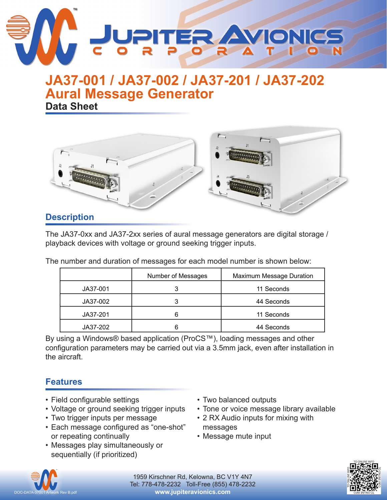

## **Aural Message Generator JA37-001 / JA37-002 / JA37-201 / JA37-202 Data Sheet**



### **Description**

The JA37-0xx and JA37-2xx series of aural message generators are digital storage / playback devices with voltage or ground seeking trigger inputs.

The number and duration of messages for each model number is shown below:

|          | Number of Messages | <b>Maximum Message Duration</b> |
|----------|--------------------|---------------------------------|
| JA37-001 |                    | 11 Seconds                      |
| JA37-002 |                    | 44 Seconds                      |
| JA37-201 |                    | 11 Seconds                      |
| JA37-202 |                    | 44 Seconds                      |

By using a Windows® based application (ProCS™), loading messages and other configuration parameters may be carried out via a 3.5mm jack, even after installation in the aircraft.

### **Features**

- Field configurable settings
- Voltage or ground seeking trigger inputs
- Two trigger inputs per message
- Each message configured as "one-shot" or repeating continually
- Messages play simultaneously or sequentially (if prioritized)
- Two balanced outputs
- Tone or voice message library available
- 2 RX Audio inputs for mixing with messages
- Message mute input



1959 Kirschner Rd, Kelowna, BC V1Y 4N7 Tel: 778-478-2232 Toll-Free (855) 478-2232 **www.jupiteravionics.com**